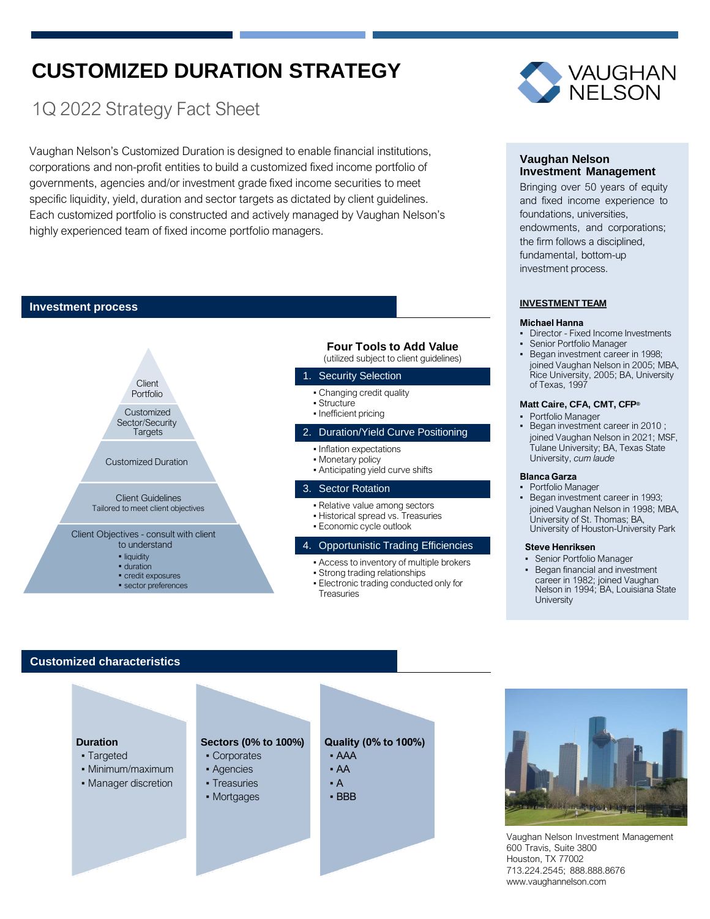# **CUSTOMIZED DURATION STRATEGY**

# 1Q 2022 Strategy Fact Sheet

Vaughan Nelson's Customized Duration is designed to enable financial institutions, corporations and non-profit entities to build a customized fixed income portfolio of governments, agencies and/or investment grade fixed income securities to meet specific liquidity, yield, duration and sector targets as dictated by client guidelines. Each customized portfolio is constructed and actively managed by Vaughan Nelson's highly experienced team of fixed income portfolio managers.

## **Investment process**



# **Customized characteristics**





# **Vaughan Nelson Investment Management**

Bringing over 50 years of equity and fixed income experience to foundations, universities, endowments, and corporations; the firm follows a disciplined, fundamental, bottom-up investment process.

### **INVESTMENT TEAM**

#### **Michael Hanna**

- **Director Fixed Income Investments**
- joined Vaughan Nelson in 2005; MBA, Rice University, 2005; BA, University
- Began investment career in 2010; joined Vaughan Nelson in 2021; MSF, Tulane University; BA, Texas State
- Began investment career in 1993; joined Vaughan Nelson in 1998; MBA, University of Houston-University Park
	- Began financial and investment career in 1982; joined Vaughan Nelson in 1994; BA, Louisiana State **University**

Vaughan Nelson Investment Management 600 Travis, Suite 3800 Houston, TX 77002 713.224.2545; 888.888.8676 www.vaughannelson.com